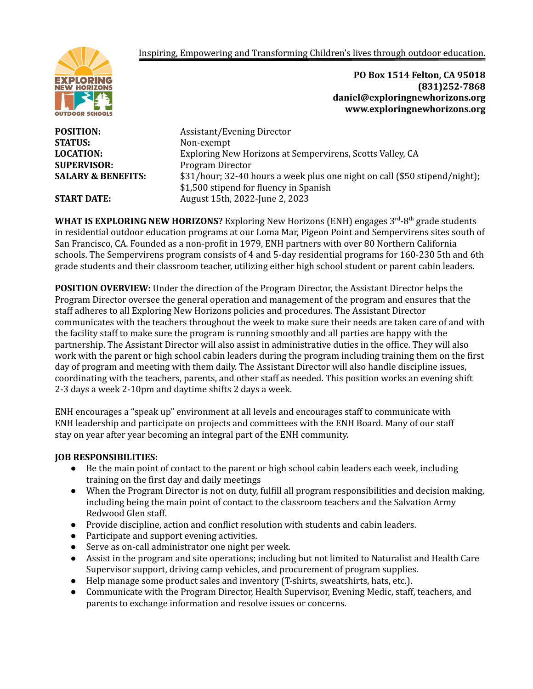Inspiring, Empowering and Transforming Children's lives through outdoor education.



**STATUS:** Non-exempt **SUPERVISOR:** Program Director

**POSITION:** Assistant/Evening Director **LOCATION:** Exploring New Horizons at Sempervirens, Scotts Valley, CA **SALARY & BENEFITS:** \$31/hour; 32-40 hours a week plus one night on call (\$50 stipend/night); \$1,500 stipend for fluency in Spanish **START DATE:** August 15th, 2022-June 2, 2023

**PO Box 1514 Felton, CA 95018**

**daniel@exploringnewhorizons.org www.exploringnewhorizons.org**

**(831)252-7868**

WHAT IS EXPLORING NEW HORIZONS? Exploring New Horizons (ENH) engages 3<sup>rd</sup>-8<sup>th</sup> grade students in residential outdoor education programs at our Loma Mar, Pigeon Point and Sempervirens sites south of San Francisco, CA. Founded as a non-profit in 1979, ENH partners with over 80 Northern California schools. The Sempervirens program consists of 4 and 5-day residential programs for 160-230 5th and 6th grade students and their classroom teacher, utilizing either high school student or parent cabin leaders.

**POSITION OVERVIEW:** Under the direction of the Program Director, the Assistant Director helps the Program Director oversee the general operation and management of the program and ensures that the staff adheres to all Exploring New Horizons policies and procedures. The Assistant Director communicates with the teachers throughout the week to make sure their needs are taken care of and with the facility staff to make sure the program is running smoothly and all parties are happy with the partnership. The Assistant Director will also assist in administrative duties in the office. They will also work with the parent or high school cabin leaders during the program including training them on the first day of program and meeting with them daily. The Assistant Director will also handle discipline issues, coordinating with the teachers, parents, and other staff as needed. This position works an evening shift 2-3 days a week 2-10pm and daytime shifts 2 days a week.

ENH encourages a "speak up" environment at all levels and encourages staff to communicate with ENH leadership and participate on projects and committees with the ENH Board. Many of our staff stay on year after year becoming an integral part of the ENH community.

## **JOB RESPONSIBILITIES:**

- Be the main point of contact to the parent or high school cabin leaders each week, including training on the first day and daily meetings
- When the Program Director is not on duty, fulfill all program responsibilities and decision making, including being the main point of contact to the classroom teachers and the Salvation Army Redwood Glen staff.
- Provide discipline, action and conflict resolution with students and cabin leaders.
- Participate and support evening activities.
- Serve as on-call administrator one night per week.
- Assist in the program and site operations; including but not limited to Naturalist and Health Care Supervisor support, driving camp vehicles, and procurement of program supplies.
- Help manage some product sales and inventory (T-shirts, sweatshirts, hats, etc.).
- Communicate with the Program Director, Health Supervisor, Evening Medic, staff, teachers, and parents to exchange information and resolve issues or concerns.